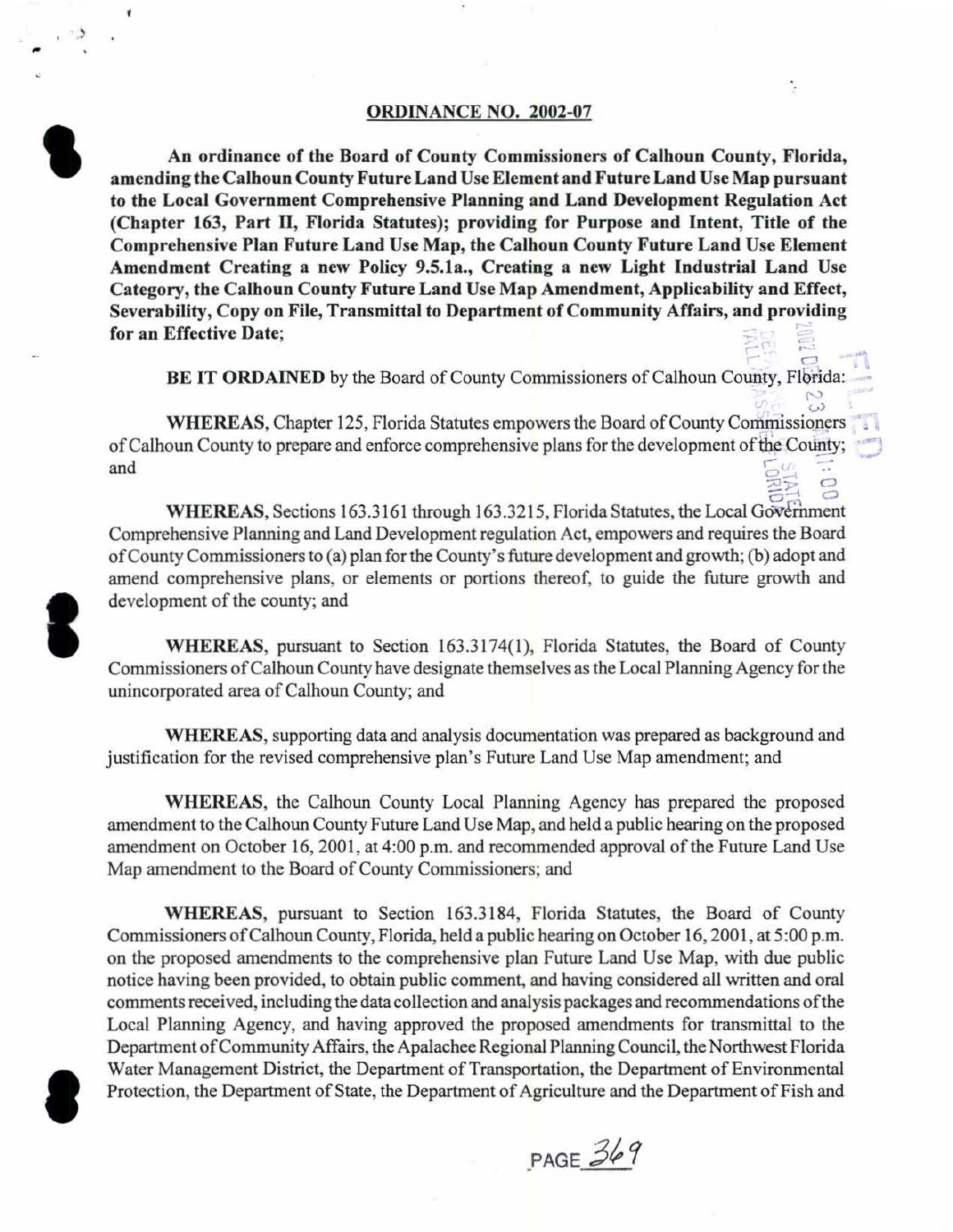### ORDINANCE NO. 2002-07

An ordinance of the Board of County Commissioners of Calhoun County, Florida, amending the Calhoun County Future Land Use Element and Future Land Use Map pursuant to the Local Government Comprehensive Planning and Land Development Regulation Act (Chapter 163, Part II, Florida Statutes); providing for Purpose and Intent, Title of the Comprehensive Plan Future Land Use Map, the Calhoun County Future Land Use Element Amendment Creating a new Policy 9.5.1a., Creating a new Light Industrial Land Use Category, the Calhoun County Future Land Use Map Amendment, Applicability and Effect, Severability, Copy on File, Transmittal to Department of Community Affairs, and providing for an Effective Date;

BE IT ORDAINED by the Board of County Commissioners of Calhoun County, Florida:

 $\omega$ 

۰.

WHEREAS, Chapter 125, Florida Statutes empowers the Board of County Commissioners of Calhoun County to prepare and enforce comprehensive plans for the development of the County;  $r_{\text{max}}$  results and  $\frac{r_{\text{max}}}{r_{\text{max}}}$  $\circ$ 

WHEREAS, Sections 163.3161 through 163.3215, Florida Statutes, the Local Government Comprehensive Planning and Land Development regulation Act, empowers and requires the Board of County Commissioners to (a) plan for the County's future development and growth; (b) adopt and amend comprehensive plans, or elements or portions thereof, to guide the future growth and development of the county; and

WHEREAS, pursuant to Section 163.3174(1), Florida Statutes, the Board of County Commissioners of Calhoun County have designate themselves as the Local Planning Agency for the unincorporated area of Calhoun County; and

WHEREAS, supporting data and analysis documentation was prepared as background and justification for the revised comprehensive plan's Future Land Use Map amendment; and

WHEREAS, the Calhoun County Local Planning Agency has prepared the proposed amendment to the Calhoun County Future Land Use Map, and held a public hearing on the proposed amendment on October 16, 2001, at 4:00 p.m. and recommended approval of the Future Land Use Map amendment to the Board of County Commissioners; and

WHEREAS, pursuant to Section 163.3184, Florida Statutes, the Board of County Commissioners of Calhoun County, Florida, held a public hearing on October 16, 2001, at 5:00 p.m. on the proposed amendments to the comprehensive plan Future Land Use Map, with due public notice having been provided, to obtain public comment, and having considered all written and oral comments received, including the data collection and analysis packages and recommendations ofthe Local Planning Agency, and having approved the proposed amendments for transmittal to the Department of Community Affairs, the Apalachee Regional Planning Council, the Northwest Florida Water Management District, the Department of Transportation, the Department of Environmental Protection, the Department of State, the Department of Agriculture and the Department of Fish and

 $PAGE$  369



**S** 

**'**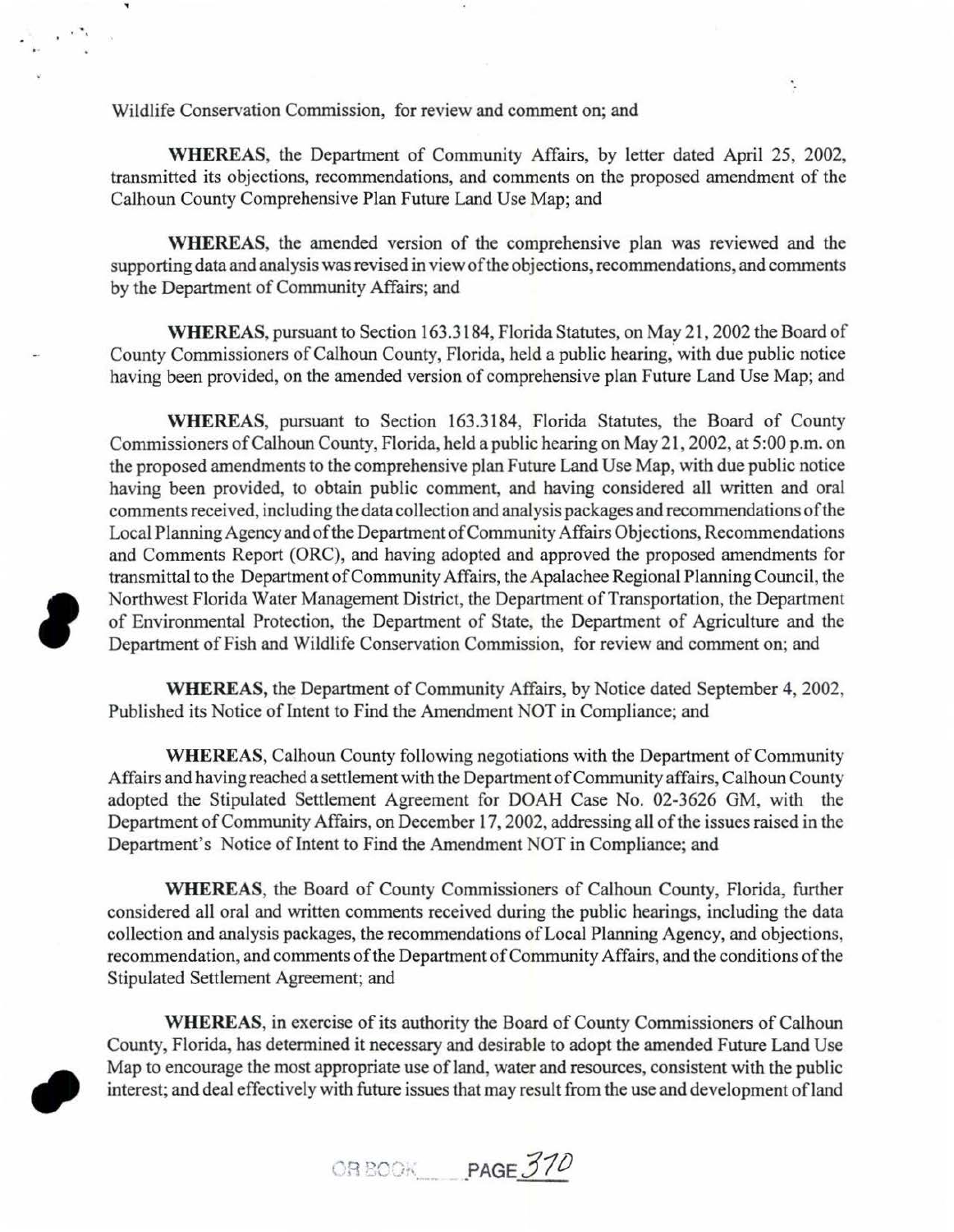Wildlife Conservation Commission, for review and comment on; and

WHEREAS, the Department of Community Affairs, by letter dated April 25, 2002, transmitted its objections, recommendations, and comments on the proposed amendment of the Calhoun County Comprehensive Plan Future Land Use Map; and

¢,

WHEREAS, the amended version of the comprehensive plan was reviewed and the supporting data and analysis was revised in view of the objections, recommendations, and comments by the Department of Community Affairs; and

WHEREAS, pursuant to Section 163.3184, Florida Statutes, on May 21 , 2002 the Board of County Commissioners of Calhoun County, Florida, held a public hearing, with due public notice having been provided, on the amended version of comprehensive plan Future Land Use Map; and

WHEREAS, pursuant to Section 163.3184, Florida Statutes, the Board of County Commissioners of Calhoun County, Florida, held a public hearing on May 21, 2002, at 5:00 p.m. on the proposed amendments to the comprehensive plan Future Land Use Map, with due public notice having been provided, to obtain public comment, and having considered all written and oral comments received, including the data collection and analysis packages and recommendations of the Local Planning Agency and of the Department of Community Affairs Objections, Recommendations and Comments Report (ORC), and having adopted and approved the proposed amendments for transmittal to the Department of Community Affairs, the Apalachee Regional Planning Council, the Northwest Florida Water Management District, the Department of Transportation, the Department of Environmental Protection, the Department of State, the Department of Agriculture and the Department of Fish and Wildlife Conservation Commission, for review and comment on; and

WHEREAS, the Department of Community Affairs, by Notice dated September 4, 2002, Published its Notice of Intent to Find the Amendment NOT in Compliance; and

WHEREAS, Calhoun County following negotiations with the Department of Community Affairs and having reached a settlement with the Department of Community affairs, Calhoun County adopted the Stipulated Settlement Agreement for DOAH Case No. 02-3626 GM, with the Department of Community Affairs, on December 17, 2002, addressing all of the issues raised in the Department's Notice of Intent to Find the Amendment NOT in Compliance; and

WHEREAS, the Board of County Commissioners of Calhoun County, Florida, further considered all oral and written comments received during the public hearings, including the data collection and analysis packages, the recommendations of Local Planning Agency, and objections, recommendation, and comments of the Department of Community Affairs, and the conditions of the Stipulated Settlement Agreement; and

WHEREAS, in exercise of its authority the Board of County Commissioners of Calhoun County, Florida, has determined it necessary and desirable to adopt the amended Future Land Use Map to encourage the most appropriate use of land, water and resources, consistent with the public interest; and deal effectively with future issues that may result from the use and development ofland



*PAGE 370*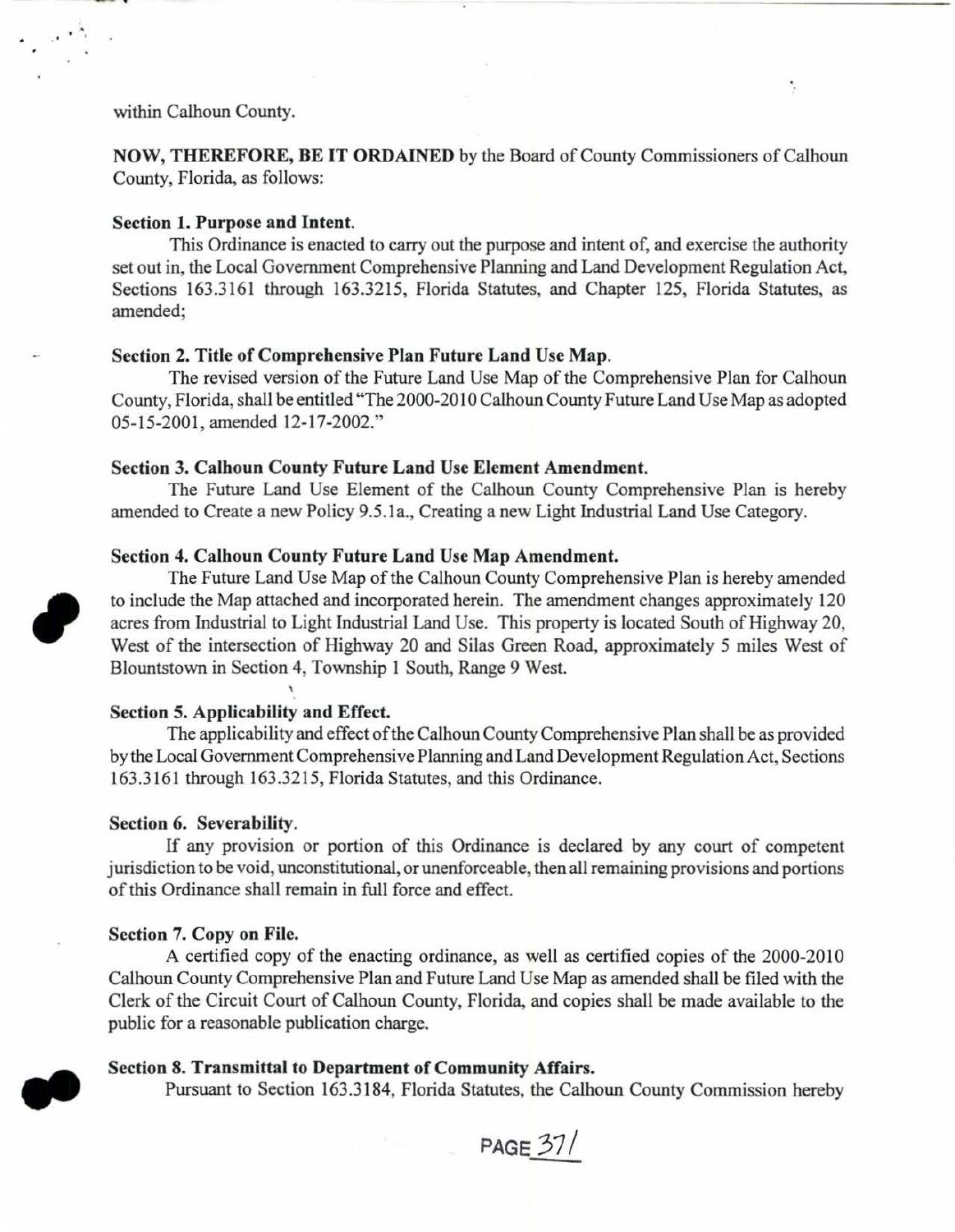within Calhoun County.

NOW, THEREFORE, BE IT ORDAINED by the Board of County Commissioners of Calhoun County, Florida, as follows:

### Section 1. Purpose and Intent.

This Ordinance is enacted to carry out the purpose and intent of, and exercise the authority set out in, the Local Government Comprehensive Planning and Land Development Regulation Act, Sections 163.3161 through 163.3215, Florida Statutes, and Chapter 125, Florida Statutes, as amended;

## Section 2. Title of Comprehensive Plan Future Land Use Map.

The revised version of the Future Land Use Map of the Comprehensive Plan for Calhoun County, Florida, shall be entitled "The 2000-2010 Calhoun County Future Land Use Map as adopted 05-15-2001, amended 12-17-2002."

## Section 3. Calhoun County Future Land Use Element Amendment.

The Future Land Use Element of the Calhoun County Comprehensive Plan is hereby amended to Create a new Policy 9.5.la., Creating a new Light Industrial Land Use Category.

### Section 4. Calhoun County Future Land Use Map Amendment.

The Future Land Use Map of the Calhoun County Comprehensive Plan is hereby amended to include the Map attached and incorporated herein. The amendment changes approximately 120 acres from Industrial to Light Industrial Land Use. This property is located South of Highway 20, West of the intersection of Highway 20 and Silas Green Road, approximately 5 miles West of Blountstown in Section 4, Township 1 South, Range 9 West.

# Section 5. Applicability and Effect.

The applicability and effect of the Calhoun County Comprehensive Plan shall be as provided by the Local Government Comprehensive Planning and Land Development Regulation Act, Sections 163.3161 through 163.3215, Florida Statutes, and this Ordinance.

# Section 6. Severability.

If any provision or portion of this Ordinance is declared by any court of competent jurisdiction to be void, unconstitutional, or unenforceable, then all remaining provisions and portions of this Ordinance shall remain in full force and effect.

### Section 7. Copy on File.

A certified copy of the enacting ordinance, as well as certified copies of the 2000-2010 Calhoun County Comprehensive Plan and Future Land Use Map as amended shall be filed with the Clerk of the Circuit Court of Calhoun County, Florida, and copies shall be made available to the public for a reasonable publication charge.

## Section 8. Transmittal to Department of Community Affairs .

Pursuant to Section 163.3184, Florida Statutes, the Calhoun County Commission hereby

PAGE 37/